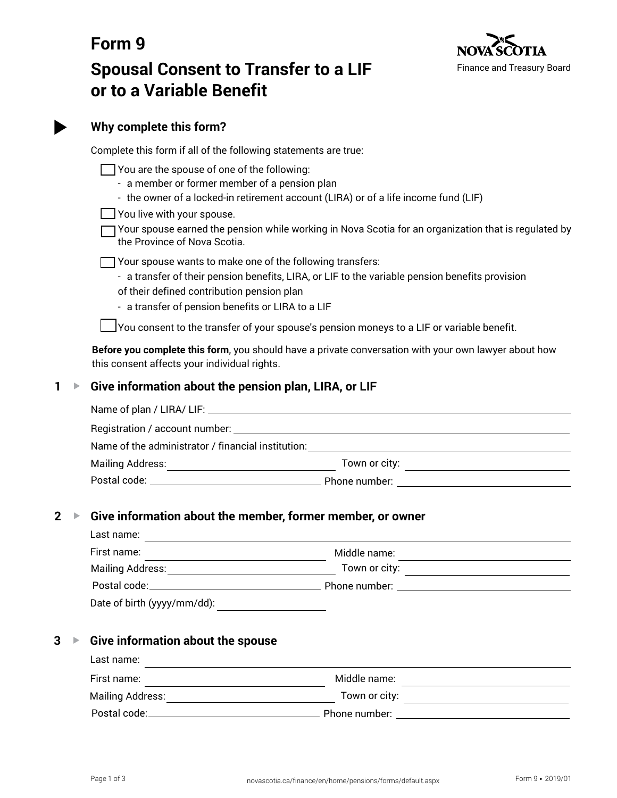

# **Form 9 Spousal Consent to Transfer to a LIF or to a Variable Benefit**

|   | Why complete this form?                                                                                                                                                                                                                                                                                                                                   |                                                                                                                                                                                                                     |  |  |
|---|-----------------------------------------------------------------------------------------------------------------------------------------------------------------------------------------------------------------------------------------------------------------------------------------------------------------------------------------------------------|---------------------------------------------------------------------------------------------------------------------------------------------------------------------------------------------------------------------|--|--|
|   | Complete this form if all of the following statements are true:                                                                                                                                                                                                                                                                                           |                                                                                                                                                                                                                     |  |  |
|   | You are the spouse of one of the following:<br>- a member or former member of a pension plan<br>- the owner of a locked-in retirement account (LIRA) or of a life income fund (LIF)<br>You live with your spouse.<br>Your spouse earned the pension while working in Nova Scotia for an organization that is regulated by<br>the Province of Nova Scotia. |                                                                                                                                                                                                                     |  |  |
|   | of their defined contribution pension plan                                                                                                                                                                                                                                                                                                                | T Your spouse wants to make one of the following transfers:<br>- a transfer of their pension benefits, LIRA, or LIF to the variable pension benefits provision<br>- a transfer of pension benefits or LIRA to a LIF |  |  |
|   |                                                                                                                                                                                                                                                                                                                                                           | ]You consent to the transfer of your spouse's pension moneys to a LIF or variable benefit.                                                                                                                          |  |  |
|   | this consent affects your individual rights.                                                                                                                                                                                                                                                                                                              | Before you complete this form, you should have a private conversation with your own lawyer about how                                                                                                                |  |  |
| 1 | Give information about the pension plan, LIRA, or LIF                                                                                                                                                                                                                                                                                                     |                                                                                                                                                                                                                     |  |  |
|   |                                                                                                                                                                                                                                                                                                                                                           |                                                                                                                                                                                                                     |  |  |
|   |                                                                                                                                                                                                                                                                                                                                                           |                                                                                                                                                                                                                     |  |  |
|   |                                                                                                                                                                                                                                                                                                                                                           |                                                                                                                                                                                                                     |  |  |
|   |                                                                                                                                                                                                                                                                                                                                                           |                                                                                                                                                                                                                     |  |  |
|   |                                                                                                                                                                                                                                                                                                                                                           |                                                                                                                                                                                                                     |  |  |
| 2 | Give information about the member, former member, or owner                                                                                                                                                                                                                                                                                                |                                                                                                                                                                                                                     |  |  |
|   | Last name:<br>First name:                                                                                                                                                                                                                                                                                                                                 | Middle name:                                                                                                                                                                                                        |  |  |
|   |                                                                                                                                                                                                                                                                                                                                                           |                                                                                                                                                                                                                     |  |  |
|   |                                                                                                                                                                                                                                                                                                                                                           |                                                                                                                                                                                                                     |  |  |
|   |                                                                                                                                                                                                                                                                                                                                                           |                                                                                                                                                                                                                     |  |  |
|   |                                                                                                                                                                                                                                                                                                                                                           |                                                                                                                                                                                                                     |  |  |
| 3 | Give information about the spouse                                                                                                                                                                                                                                                                                                                         |                                                                                                                                                                                                                     |  |  |
|   | Last name:                                                                                                                                                                                                                                                                                                                                                | <u> 1989 - Johann Stoff, amerikansk politiker (d. 1989)</u><br><b><i>Contract Contract Contract</i></b>                                                                                                             |  |  |
|   |                                                                                                                                                                                                                                                                                                                                                           |                                                                                                                                                                                                                     |  |  |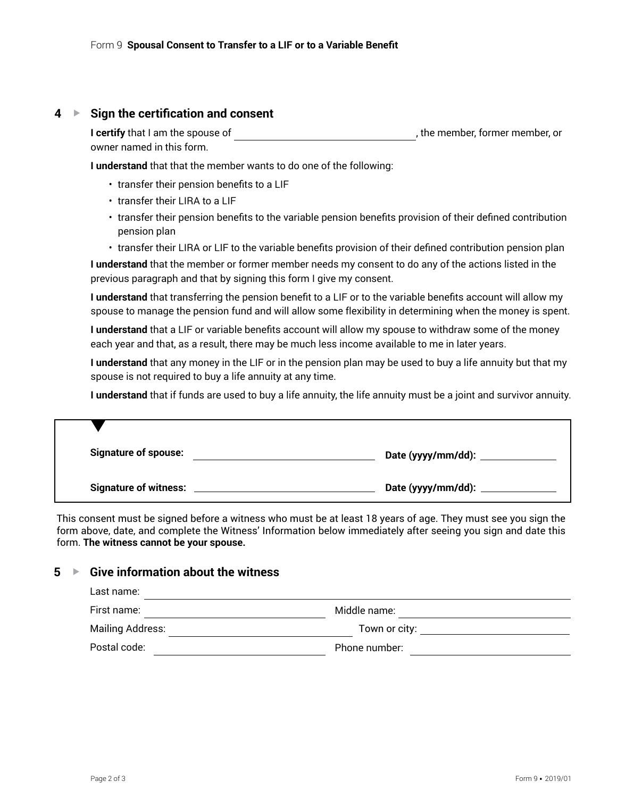### **4 ▶ Sign the certification and consent**

| I certify that I am the spouse of | , the member, former member, or |
|-----------------------------------|---------------------------------|
| owner named in this form.         |                                 |

**I understand** that that the member wants to do one of the following:

- transfer their pension benefits to a LIF
- transfer their LIRA to a LIF
- transfer their pension benefits to the variable pension benefits provision of their defined contribution pension plan
- transfer their LIRA or LIF to the variable benefits provision of their defined contribution pension plan

**I understand** that the member or former member needs my consent to do any of the actions listed in the previous paragraph and that by signing this form I give my consent.

**I understand** that transferring the pension benefit to a LIF or to the variable benefits account will allow my spouse to manage the pension fund and will allow some flexibility in determining when the money is spent.

**I understand** that a LIF or variable benefits account will allow my spouse to withdraw some of the money each year and that, as a result, there may be much less income available to me in later years.

**I understand** that any money in the LIF or in the pension plan may be used to buy a life annuity but that my spouse is not required to buy a life annuity at any time.

**I understand** that if funds are used to buy a life annuity, the life annuity must be a joint and survivor annuity.

| <b>Signature of spouse:</b>  | Date (yyyy/mm/dd): _____ |
|------------------------------|--------------------------|
| <b>Signature of witness:</b> | Date (yyyy/mm/dd): _     |

This consent must be signed before a witness who must be at least 18 years of age. They must see you sign the form above, date, and complete the Witness' Information below immediately after seeing you sign and date this form. **The witness cannot be your spouse.**

# **5** ► Give information about the witness

| Last name:       |               |
|------------------|---------------|
| First name:      | Middle name:  |
| Mailing Address: | Town or city: |
| Postal code:     | Phone number: |